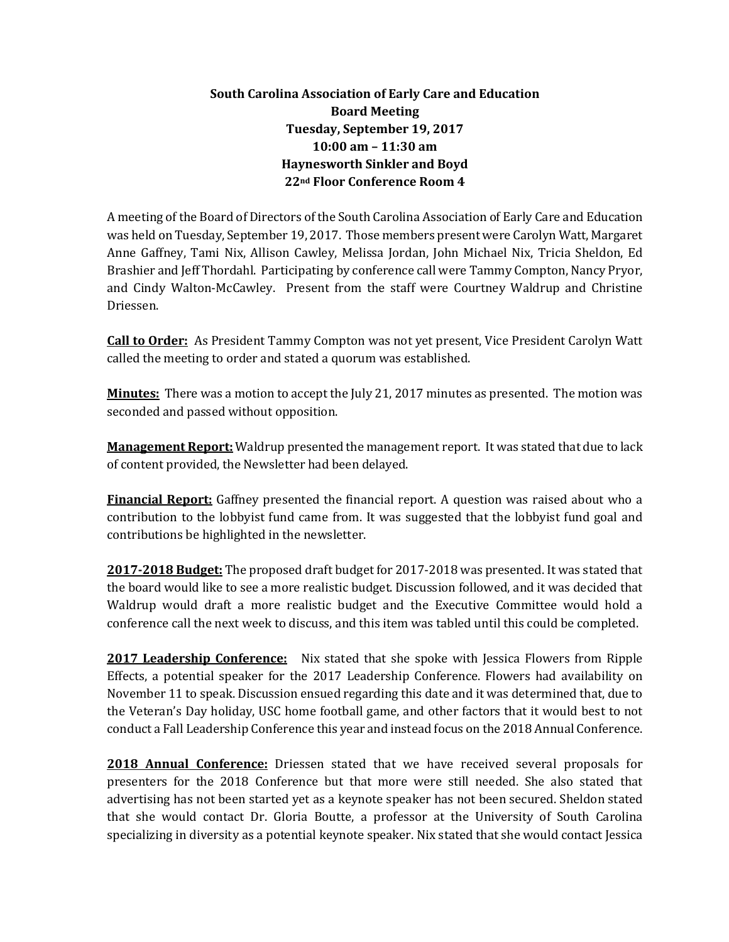## **South Carolina Association of Early Care and Education Board Meeting Tuesday, September 19, 2017 10:00 am – 11:30 am Haynesworth Sinkler and Boyd 22nd Floor Conference Room 4**

A meeting of the Board of Directors of the South Carolina Association of Early Care and Education was held on Tuesday, September 19, 2017. Those members present were Carolyn Watt, Margaret Anne Gaffney, Tami Nix, Allison Cawley, Melissa Jordan, John Michael Nix, Tricia Sheldon, Ed Brashier and Jeff Thordahl. Participating by conference call were Tammy Compton, Nancy Pryor, and Cindy Walton-McCawley. Present from the staff were Courtney Waldrup and Christine Driessen.

**Call to Order:** As President Tammy Compton was not yet present, Vice President Carolyn Watt called the meeting to order and stated a quorum was established.

**Minutes:** There was a motion to accept the July 21, 2017 minutes as presented. The motion was seconded and passed without opposition.

**Management Report:** Waldrup presented the management report. It was stated that due to lack of content provided, the Newsletter had been delayed.

**Financial Report:** Gaffney presented the financial report. A question was raised about who a contribution to the lobbyist fund came from. It was suggested that the lobbyist fund goal and contributions be highlighted in the newsletter.

**2017-2018 Budget:** The proposed draft budget for 2017-2018 was presented. It was stated that the board would like to see a more realistic budget. Discussion followed, and it was decided that Waldrup would draft a more realistic budget and the Executive Committee would hold a conference call the next week to discuss, and this item was tabled until this could be completed.

**2017 Leadership Conference:** Nix stated that she spoke with Jessica Flowers from Ripple Effects, a potential speaker for the 2017 Leadership Conference. Flowers had availability on November 11 to speak. Discussion ensued regarding this date and it was determined that, due to the Veteran's Day holiday, USC home football game, and other factors that it would best to not conduct a Fall Leadership Conference this year and instead focus on the 2018 Annual Conference.

**2018 Annual Conference:** Driessen stated that we have received several proposals for presenters for the 2018 Conference but that more were still needed. She also stated that advertising has not been started yet as a keynote speaker has not been secured. Sheldon stated that she would contact Dr. Gloria Boutte, a professor at the University of South Carolina specializing in diversity as a potential keynote speaker. Nix stated that she would contact Jessica